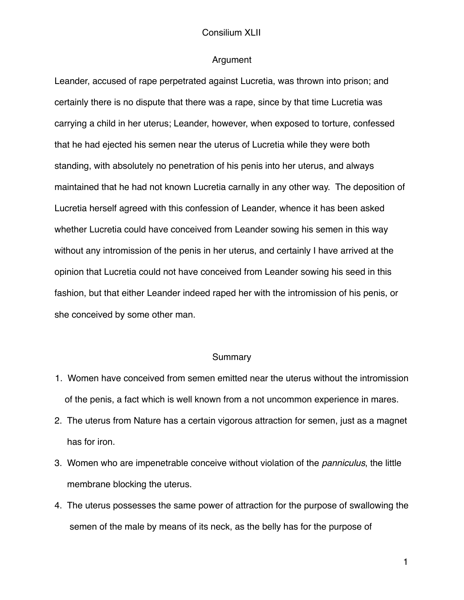#### Argument

Leander, accused of rape perpetrated against Lucretia, was thrown into prison; and certainly there is no dispute that there was a rape, since by that time Lucretia was carrying a child in her uterus; Leander, however, when exposed to torture, confessed that he had ejected his semen near the uterus of Lucretia while they were both standing, with absolutely no penetration of his penis into her uterus, and always maintained that he had not known Lucretia carnally in any other way. The deposition of Lucretia herself agreed with this confession of Leander, whence it has been asked whether Lucretia could have conceived from Leander sowing his semen in this way without any intromission of the penis in her uterus, and certainly I have arrived at the opinion that Lucretia could not have conceived from Leander sowing his seed in this fashion, but that either Leander indeed raped her with the intromission of his penis, or she conceived by some other man.

#### **Summary**

- 1. Women have conceived from semen emitted near the uterus without the intromission of the penis, a fact which is well known from a not uncommon experience in mares.
- 2. The uterus from Nature has a certain vigorous attraction for semen, just as a magnet has for iron.
- 3. Women who are impenetrable conceive without violation of the *panniculus*, the little membrane blocking the uterus.
- 4. The uterus possesses the same power of attraction for the purpose of swallowing the semen of the male by means of its neck, as the belly has for the purpose of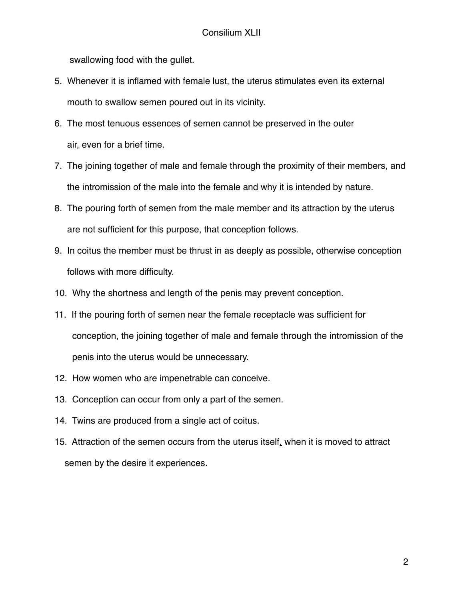swallowing food with the gullet.

- 5. Whenever it is inflamed with female lust, the uterus stimulates even its external mouth to swallow semen poured out in its vicinity.
- 6. The most tenuous essences of semen cannot be preserved in the outer air, even for a brief time.
- 7. The joining together of male and female through the proximity of their members, and the intromission of the male into the female and why it is intended by nature.
- 8. The pouring forth of semen from the male member and its attraction by the uterus are not sufficient for this purpose, that conception follows.
- 9. In coitus the member must be thrust in as deeply as possible, otherwise conception follows with more difficulty.
- 10. Why the shortness and length of the penis may prevent conception.
- 11. If the pouring forth of semen near the female receptacle was sufficient for conception, the joining together of male and female through the intromission of the penis into the uterus would be unnecessary.
- 12. How women who are impenetrable can conceive.
- 13. Conception can occur from only a part of the semen.
- 14. Twins are produced from a single act of coitus.
- 15. Attraction of the semen occurs from the uterus itself, when it is moved to attract semen by the desire it experiences.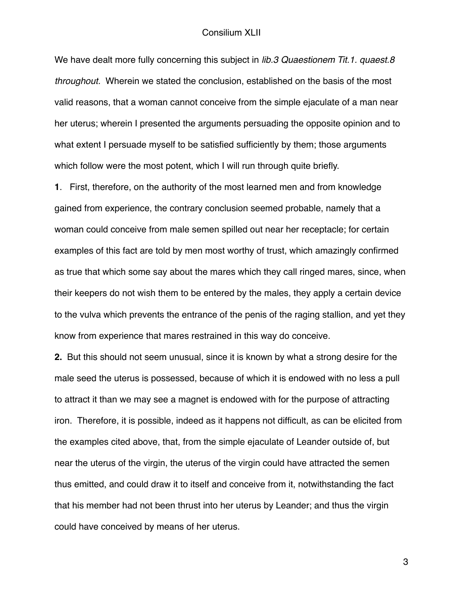We have dealt more fully concerning this subject in *lib.3 Quaestionem Tit.1. quaest.8 throughout.* Wherein we stated the conclusion, established on the basis of the most valid reasons, that a woman cannot conceive from the simple ejaculate of a man near her uterus; wherein I presented the arguments persuading the opposite opinion and to what extent I persuade myself to be satisfied sufficiently by them; those arguments which follow were the most potent, which I will run through quite briefly.

**1**. First, therefore, on the authority of the most learned men and from knowledge gained from experience, the contrary conclusion seemed probable, namely that a woman could conceive from male semen spilled out near her receptacle; for certain examples of this fact are told by men most worthy of trust, which amazingly confirmed as true that which some say about the mares which they call ringed mares, since, when their keepers do not wish them to be entered by the males, they apply a certain device to the vulva which prevents the entrance of the penis of the raging stallion, and yet they know from experience that mares restrained in this way do conceive.

**2.** But this should not seem unusual, since it is known by what a strong desire for the male seed the uterus is possessed, because of which it is endowed with no less a pull to attract it than we may see a magnet is endowed with for the purpose of attracting iron. Therefore, it is possible, indeed as it happens not difficult, as can be elicited from the examples cited above, that, from the simple ejaculate of Leander outside of, but near the uterus of the virgin, the uterus of the virgin could have attracted the semen thus emitted, and could draw it to itself and conceive from it, notwithstanding the fact that his member had not been thrust into her uterus by Leander; and thus the virgin could have conceived by means of her uterus.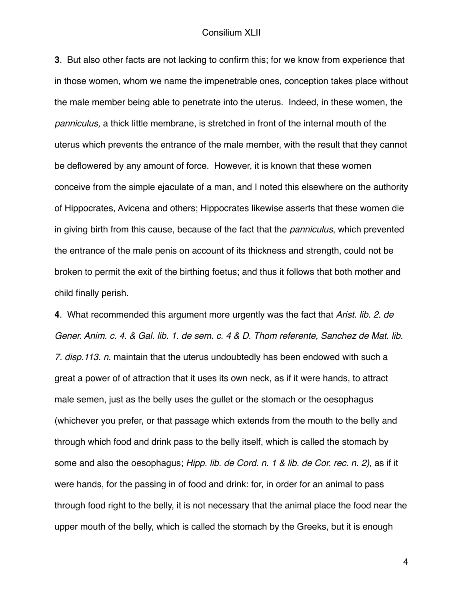**3**. But also other facts are not lacking to confirm this; for we know from experience that in those women, whom we name the impenetrable ones, conception takes place without the male member being able to penetrate into the uterus. Indeed, in these women, the *panniculus,* a thick little membrane, is stretched in front of the internal mouth of the uterus which prevents the entrance of the male member, with the result that they cannot be deflowered by any amount of force. However, it is known that these women conceive from the simple ejaculate of a man, and I noted this elsewhere on the authority of Hippocrates, Avicena and others; Hippocrates likewise asserts that these women die in giving birth from this cause, because of the fact that the *panniculus*, which prevented the entrance of the male penis on account of its thickness and strength, could not be broken to permit the exit of the birthing foetus; and thus it follows that both mother and child finally perish.

**4**. What recommended this argument more urgently was the fact that *Arist. lib. 2. de Gener. Anim. c. 4. & Gal. lib. 1. de sem. c. 4 & D. Thom referente, Sanchez de Mat. lib. 7. disp.113. n.* maintain that the uterus undoubtedly has been endowed with such a great a power of of attraction that it uses its own neck, as if it were hands, to attract male semen, just as the belly uses the gullet or the stomach or the oesophagus (whichever you prefer, or that passage which extends from the mouth to the belly and through which food and drink pass to the belly itself, which is called the stomach by some and also the oesophagus; *Hipp. lib. de Cord. n. 1 & lib. de Cor. rec. n. 2),* as if it were hands, for the passing in of food and drink: for, in order for an animal to pass through food right to the belly, it is not necessary that the animal place the food near the upper mouth of the belly, which is called the stomach by the Greeks, but it is enough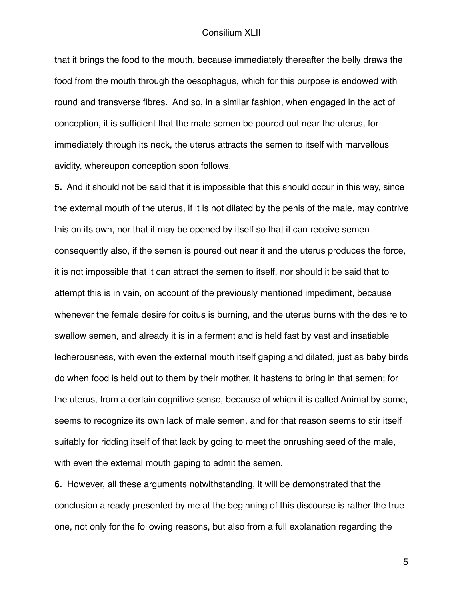that it brings the food to the mouth, because immediately thereafter the belly draws the food from the mouth through the oesophagus, which for this purpose is endowed with round and transverse fibres. And so, in a similar fashion, when engaged in the act of conception, it is sufficient that the male semen be poured out near the uterus, for immediately through its neck, the uterus attracts the semen to itself with marvellous avidity, whereupon conception soon follows.

**5.** And it should not be said that it is impossible that this should occur in this way, since the external mouth of the uterus, if it is not dilated by the penis of the male, may contrive this on its own, nor that it may be opened by itself so that it can receive semen consequently also, if the semen is poured out near it and the uterus produces the force, it is not impossible that it can attract the semen to itself, nor should it be said that to attempt this is in vain, on account of the previously mentioned impediment, because whenever the female desire for coitus is burning, and the uterus burns with the desire to swallow semen, and already it is in a ferment and is held fast by vast and insatiable lecherousness, with even the external mouth itself gaping and dilated, just as baby birds do when food is held out to them by their mother, it hastens to bring in that semen; for the uterus, from a certain cognitive sense, because of which it is called Animal by some, seems to recognize its own lack of male semen, and for that reason seems to stir itself suitably for ridding itself of that lack by going to meet the onrushing seed of the male, with even the external mouth gaping to admit the semen.

**6.** However, all these arguments notwithstanding, it will be demonstrated that the conclusion already presented by me at the beginning of this discourse is rather the true one, not only for the following reasons, but also from a full explanation regarding the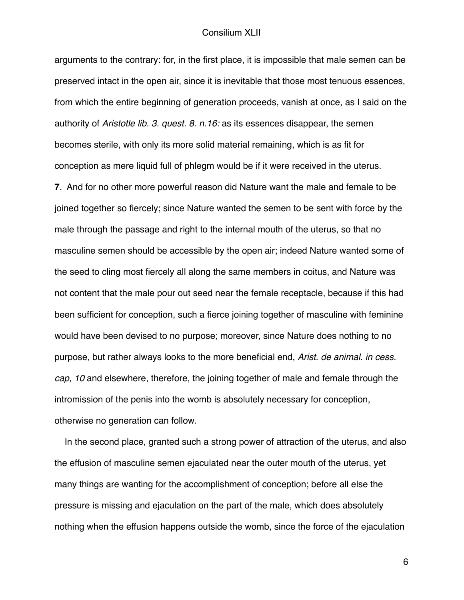arguments to the contrary: for, in the first place, it is impossible that male semen can be preserved intact in the open air, since it is inevitable that those most tenuous essences, from which the entire beginning of generation proceeds, vanish at once, as I said on the authority of *Aristotle lib. 3. quest. 8. n.16:* as its essences disappear, the semen becomes sterile, with only its more solid material remaining, which is as fit for conception as mere liquid full of phlegm would be if it were received in the uterus.

**7**. And for no other more powerful reason did Nature want the male and female to be joined together so fiercely; since Nature wanted the semen to be sent with force by the male through the passage and right to the internal mouth of the uterus, so that no masculine semen should be accessible by the open air; indeed Nature wanted some of the seed to cling most fiercely all along the same members in coitus, and Nature was not content that the male pour out seed near the female receptacle, because if this had been sufficient for conception, such a fierce joining together of masculine with feminine would have been devised to no purpose; moreover, since Nature does nothing to no purpose, but rather always looks to the more beneficial end, *Arist. de animal. in cess. cap, 10* and elsewhere, therefore, the joining together of male and female through the intromission of the penis into the womb is absolutely necessary for conception, otherwise no generation can follow.

 In the second place, granted such a strong power of attraction of the uterus, and also the effusion of masculine semen ejaculated near the outer mouth of the uterus, yet many things are wanting for the accomplishment of conception; before all else the pressure is missing and ejaculation on the part of the male, which does absolutely nothing when the effusion happens outside the womb, since the force of the ejaculation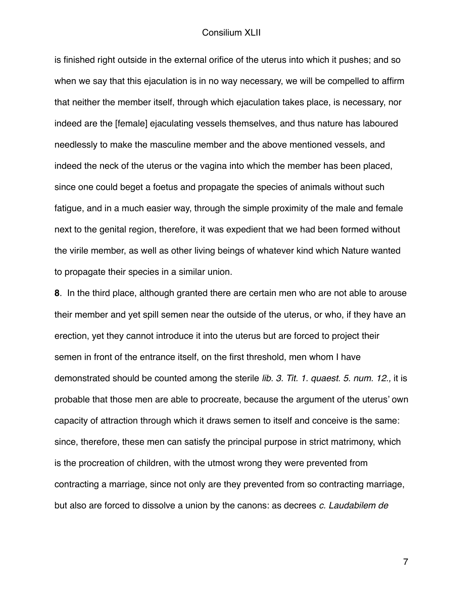is finished right outside in the external orifice of the uterus into which it pushes; and so when we say that this ejaculation is in no way necessary, we will be compelled to affirm that neither the member itself, through which ejaculation takes place, is necessary, nor indeed are the [female] ejaculating vessels themselves, and thus nature has laboured needlessly to make the masculine member and the above mentioned vessels, and indeed the neck of the uterus or the vagina into which the member has been placed, since one could beget a foetus and propagate the species of animals without such fatigue, and in a much easier way, through the simple proximity of the male and female next to the genital region, therefore, it was expedient that we had been formed without the virile member, as well as other living beings of whatever kind which Nature wanted to propagate their species in a similar union.

**8**. In the third place, although granted there are certain men who are not able to arouse their member and yet spill semen near the outside of the uterus, or who, if they have an erection, yet they cannot introduce it into the uterus but are forced to project their semen in front of the entrance itself, on the first threshold, men whom I have demonstrated should be counted among the sterile *lib. 3. Tit. 1. quaest. 5. num. 12.,* it is probable that those men are able to procreate, because the argument of the uterus' own capacity of attraction through which it draws semen to itself and conceive is the same: since, therefore, these men can satisfy the principal purpose in strict matrimony, which is the procreation of children, with the utmost wrong they were prevented from contracting a marriage, since not only are they prevented from so contracting marriage, but also are forced to dissolve a union by the canons: as decrees *c. Laudabilem de*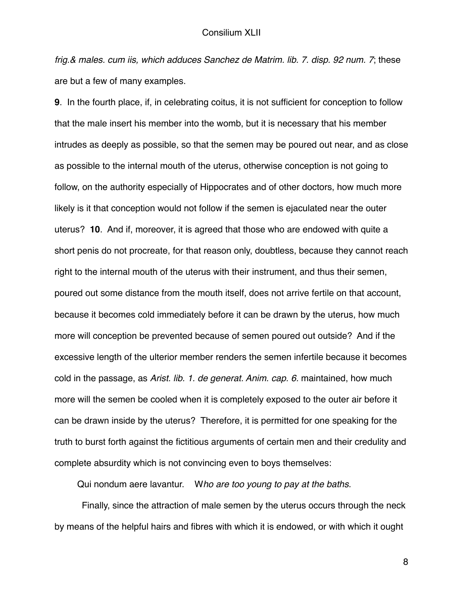*frig.& males. cum iis, which adduces Sanchez de Matrim. lib. 7. disp. 92 num. 7*; these are but a few of many examples.

**9**. In the fourth place, if, in celebrating coitus, it is not sufficient for conception to follow that the male insert his member into the womb, but it is necessary that his member intrudes as deeply as possible, so that the semen may be poured out near, and as close as possible to the internal mouth of the uterus, otherwise conception is not going to follow, on the authority especially of Hippocrates and of other doctors, how much more likely is it that conception would not follow if the semen is ejaculated near the outer uterus? **10**. And if, moreover, it is agreed that those who are endowed with quite a short penis do not procreate, for that reason only, doubtless, because they cannot reach right to the internal mouth of the uterus with their instrument, and thus their semen, poured out some distance from the mouth itself, does not arrive fertile on that account, because it becomes cold immediately before it can be drawn by the uterus, how much more will conception be prevented because of semen poured out outside? And if the excessive length of the ulterior member renders the semen infertile because it becomes cold in the passage, as *Arist. lib. 1. de generat. Anim. cap. 6.* maintained, how much more will the semen be cooled when it is completely exposed to the outer air before it can be drawn inside by the uterus? Therefore, it is permitted for one speaking for the truth to burst forth against the fictitious arguments of certain men and their credulity and complete absurdity which is not convincing even to boys themselves:

Qui nondum aere lavantur. W*ho are too young to pay at the baths.*

Finally, since the attraction of male semen by the uterus occurs through the neck by means of the helpful hairs and fibres with which it is endowed, or with which it ought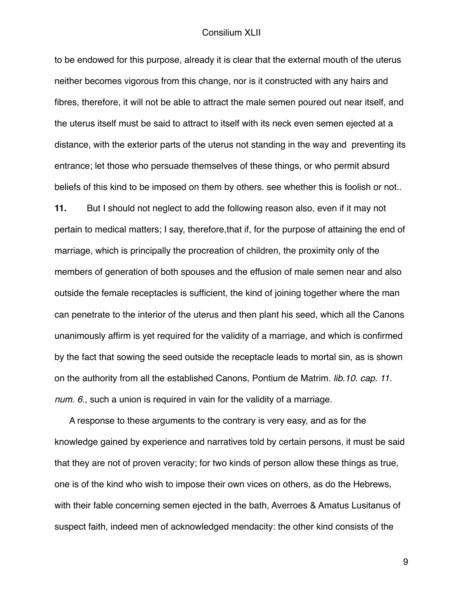to be endowed for this purpose, already it is clear that the external mouth of the uterus neither becomes vigorous from this change, nor is it constructed with any hairs and fibres, therefore, it will not be able to attract the male semen poured out near itself, and the uterus itself must be said to attract to itself with its neck even semen ejected at a distance, with the exterior parts of the uterus not standing in the way and preventing its entrance; let those who persuade themselves of these things, or who permit absurd beliefs of this kind to be imposed on them by others. see whether this is foolish or not..

**11.** But I should not neglect to add the following reason also, even if it may not pertain to medical matters; I say, therefore,that if, for the purpose of attaining the end of marriage, which is principally the procreation of children, the proximity only of the members of generation of both spouses and the effusion of male semen near and also outside the female receptacles is sufficient, the kind of joining together where the man can penetrate to the interior of the uterus and then plant his seed, which all the Canons unanimously affirm is yet required for the validity of a marriage, and which is confirmed by the fact that sowing the seed outside the receptacle leads to mortal sin, as is shown on the authority from all the established Canons, Pontium de Matrim. *lib.10. cap. 11. num. 6.*, such a union is required in vain for the validity of a marriage.

 A response to these arguments to the contrary is very easy, and as for the knowledge gained by experience and narratives told by certain persons, it must be said that they are not of proven veracity; for two kinds of person allow these things as true, one is of the kind who wish to impose their own vices on others, as do the Hebrews, with their fable concerning semen ejected in the bath, Averroes & Amatus Lusitanus of suspect faith, indeed men of acknowledged mendacity: the other kind consists of the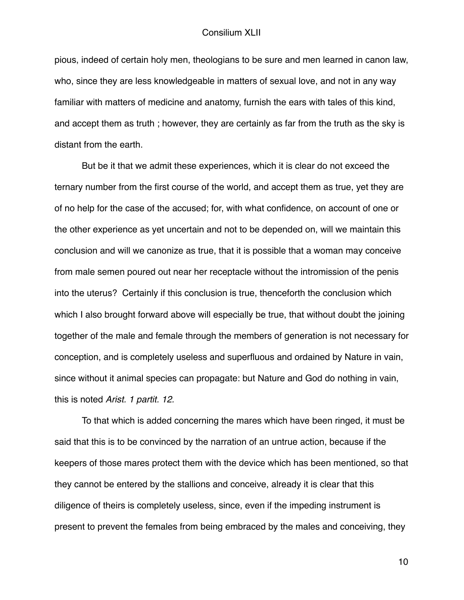pious, indeed of certain holy men, theologians to be sure and men learned in canon law, who, since they are less knowledgeable in matters of sexual love, and not in any way familiar with matters of medicine and anatomy, furnish the ears with tales of this kind, and accept them as truth ; however, they are certainly as far from the truth as the sky is distant from the earth.

But be it that we admit these experiences, which it is clear do not exceed the ternary number from the first course of the world, and accept them as true, yet they are of no help for the case of the accused; for, with what confidence, on account of one or the other experience as yet uncertain and not to be depended on, will we maintain this conclusion and will we canonize as true, that it is possible that a woman may conceive from male semen poured out near her receptacle without the intromission of the penis into the uterus? Certainly if this conclusion is true, thenceforth the conclusion which which I also brought forward above will especially be true, that without doubt the joining together of the male and female through the members of generation is not necessary for conception, and is completely useless and superfluous and ordained by Nature in vain, since without it animal species can propagate: but Nature and God do nothing in vain, this is noted *Arist. 1 partit. 12.*

To that which is added concerning the mares which have been ringed, it must be said that this is to be convinced by the narration of an untrue action, because if the keepers of those mares protect them with the device which has been mentioned, so that they cannot be entered by the stallions and conceive, already it is clear that this diligence of theirs is completely useless, since, even if the impeding instrument is present to prevent the females from being embraced by the males and conceiving, they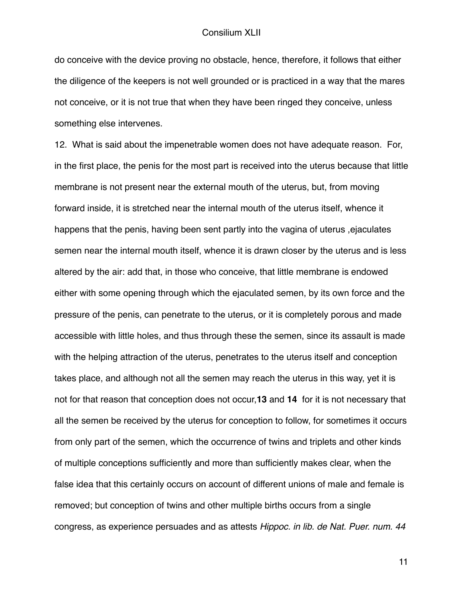do conceive with the device proving no obstacle, hence, therefore, it follows that either the diligence of the keepers is not well grounded or is practiced in a way that the mares not conceive, or it is not true that when they have been ringed they conceive, unless something else intervenes.

12. What is said about the impenetrable women does not have adequate reason. For, in the first place, the penis for the most part is received into the uterus because that little membrane is not present near the external mouth of the uterus, but, from moving forward inside, it is stretched near the internal mouth of the uterus itself, whence it happens that the penis, having been sent partly into the vagina of uterus ,ejaculates semen near the internal mouth itself, whence it is drawn closer by the uterus and is less altered by the air: add that, in those who conceive, that little membrane is endowed either with some opening through which the ejaculated semen, by its own force and the pressure of the penis, can penetrate to the uterus, or it is completely porous and made accessible with little holes, and thus through these the semen, since its assault is made with the helping attraction of the uterus, penetrates to the uterus itself and conception takes place, and although not all the semen may reach the uterus in this way, yet it is not for that reason that conception does not occur,**13** and **14** for it is not necessary that all the semen be received by the uterus for conception to follow, for sometimes it occurs from only part of the semen, which the occurrence of twins and triplets and other kinds of multiple conceptions sufficiently and more than sufficiently makes clear, when the false idea that this certainly occurs on account of different unions of male and female is removed; but conception of twins and other multiple births occurs from a single congress, as experience persuades and as attests *Hippoc. in lib. de Nat. Puer. num. 44*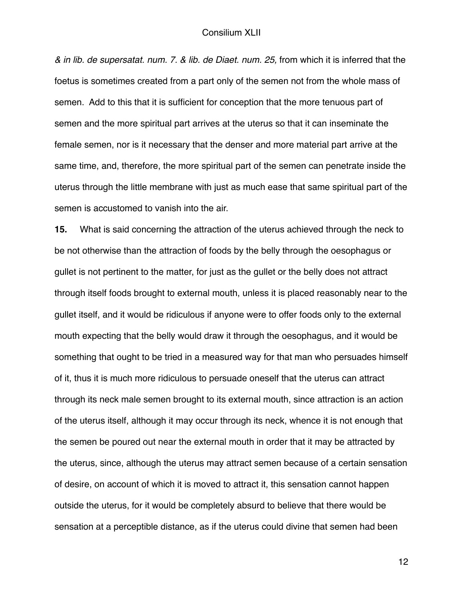*& in lib. de supersatat. num. 7. & lib. de Diaet. num. 25,* from which it is inferred that the foetus is sometimes created from a part only of the semen not from the whole mass of semen. Add to this that it is sufficient for conception that the more tenuous part of semen and the more spiritual part arrives at the uterus so that it can inseminate the female semen, nor is it necessary that the denser and more material part arrive at the same time, and, therefore, the more spiritual part of the semen can penetrate inside the uterus through the little membrane with just as much ease that same spiritual part of the semen is accustomed to vanish into the air.

**15.** What is said concerning the attraction of the uterus achieved through the neck to be not otherwise than the attraction of foods by the belly through the oesophagus or gullet is not pertinent to the matter, for just as the gullet or the belly does not attract through itself foods brought to external mouth, unless it is placed reasonably near to the gullet itself, and it would be ridiculous if anyone were to offer foods only to the external mouth expecting that the belly would draw it through the oesophagus, and it would be something that ought to be tried in a measured way for that man who persuades himself of it, thus it is much more ridiculous to persuade oneself that the uterus can attract through its neck male semen brought to its external mouth, since attraction is an action of the uterus itself, although it may occur through its neck, whence it is not enough that the semen be poured out near the external mouth in order that it may be attracted by the uterus, since, although the uterus may attract semen because of a certain sensation of desire, on account of which it is moved to attract it, this sensation cannot happen outside the uterus, for it would be completely absurd to believe that there would be sensation at a perceptible distance, as if the uterus could divine that semen had been